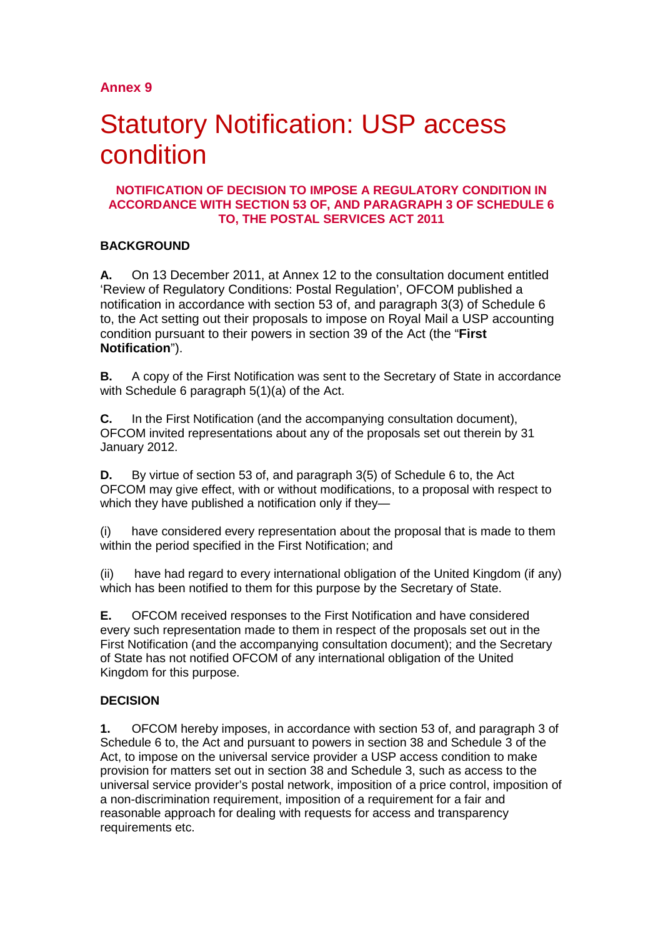# Statutory Notification: USP access condition

#### **NOTIFICATION OF DECISION TO IMPOSE A REGULATORY CONDITION IN ACCORDANCE WITH SECTION 53 OF, AND PARAGRAPH 3 OF SCHEDULE 6 TO, THE POSTAL SERVICES ACT 2011**

### **BACKGROUND**

**A.** On 13 December 2011, at Annex 12 to the consultation document entitled 'Review of Regulatory Conditions: Postal Regulation', OFCOM published a notification in accordance with section 53 of, and paragraph 3(3) of Schedule 6 to, the Act setting out their proposals to impose on Royal Mail a USP accounting condition pursuant to their powers in section 39 of the Act (the "**First Notification**").

**B.** A copy of the First Notification was sent to the Secretary of State in accordance with Schedule 6 paragraph 5(1)(a) of the Act.

**C.** In the First Notification (and the accompanying consultation document), OFCOM invited representations about any of the proposals set out therein by 31 January 2012.

**D.** By virtue of section 53 of, and paragraph 3(5) of Schedule 6 to, the Act OFCOM may give effect, with or without modifications, to a proposal with respect to which they have published a notification only if they—

(i) have considered every representation about the proposal that is made to them within the period specified in the First Notification; and

(ii) have had regard to every international obligation of the United Kingdom (if any) which has been notified to them for this purpose by the Secretary of State.

**E.** OFCOM received responses to the First Notification and have considered every such representation made to them in respect of the proposals set out in the First Notification (and the accompanying consultation document); and the Secretary of State has not notified OFCOM of any international obligation of the United Kingdom for this purpose.

### **DECISION**

**1.** OFCOM hereby imposes, in accordance with section 53 of, and paragraph 3 of Schedule 6 to, the Act and pursuant to powers in section 38 and Schedule 3 of the Act, to impose on the universal service provider a USP access condition to make provision for matters set out in section 38 and Schedule 3, such as access to the universal service provider's postal network, imposition of a price control, imposition of a non-discrimination requirement, imposition of a requirement for a fair and reasonable approach for dealing with requests for access and transparency requirements etc.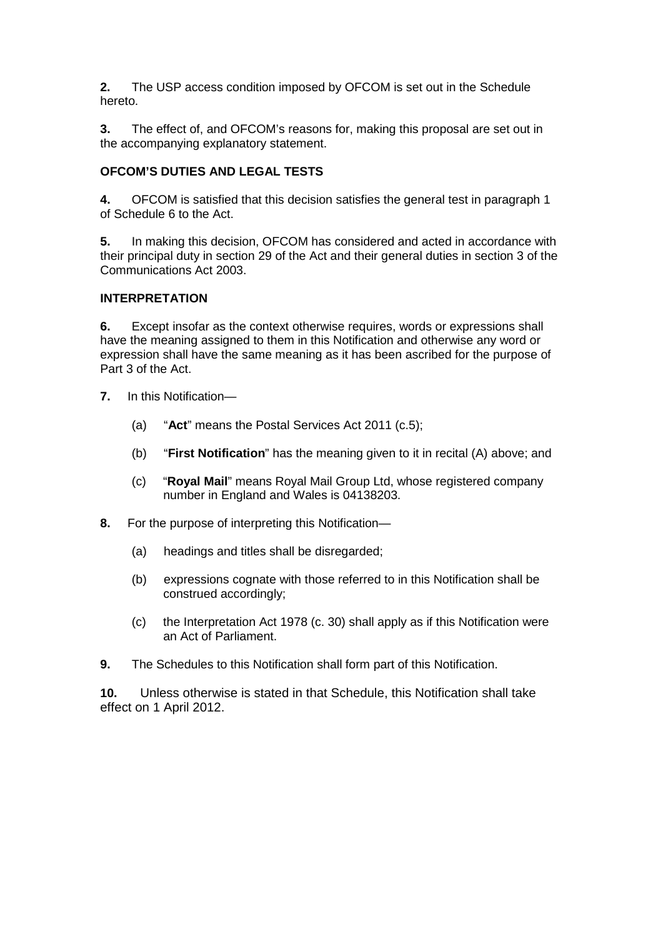**2.** The USP access condition imposed by OFCOM is set out in the Schedule hereto.

**3.** The effect of, and OFCOM's reasons for, making this proposal are set out in the accompanying explanatory statement.

#### **OFCOM'S DUTIES AND LEGAL TESTS**

**4.** OFCOM is satisfied that this decision satisfies the general test in paragraph 1 of Schedule 6 to the Act.

**5.** In making this decision, OFCOM has considered and acted in accordance with their principal duty in section 29 of the Act and their general duties in section 3 of the Communications Act 2003.

#### **INTERPRETATION**

**6.** Except insofar as the context otherwise requires, words or expressions shall have the meaning assigned to them in this Notification and otherwise any word or expression shall have the same meaning as it has been ascribed for the purpose of Part 3 of the Act.

- **7.** In this Notification—
	- (a) "**Act**" means the Postal Services Act 2011 (c.5);
	- (b) "**First Notification**" has the meaning given to it in recital (A) above; and
	- (c) "**Royal Mail**" means Royal Mail Group Ltd, whose registered company number in England and Wales is 04138203.
- **8.** For the purpose of interpreting this Notification—
	- (a) headings and titles shall be disregarded;
	- (b) expressions cognate with those referred to in this Notification shall be construed accordingly;
	- (c) the Interpretation Act 1978 (c. 30) shall apply as if this Notification were an Act of Parliament.
- **9.** The Schedules to this Notification shall form part of this Notification.

**10.** Unless otherwise is stated in that Schedule, this Notification shall take effect on 1 April 2012.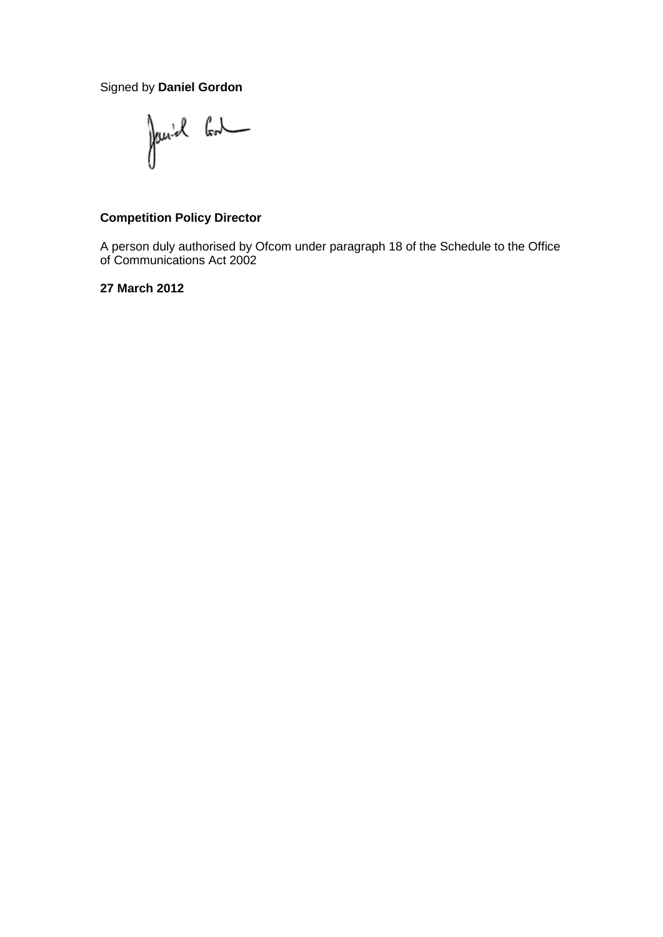Signed by **Daniel Gordon**

Janiel Cont

### **Competition Policy Director**

A person duly authorised by Ofcom under paragraph 18 of the Schedule to the Office of Communications Act 2002

**27 March 2012**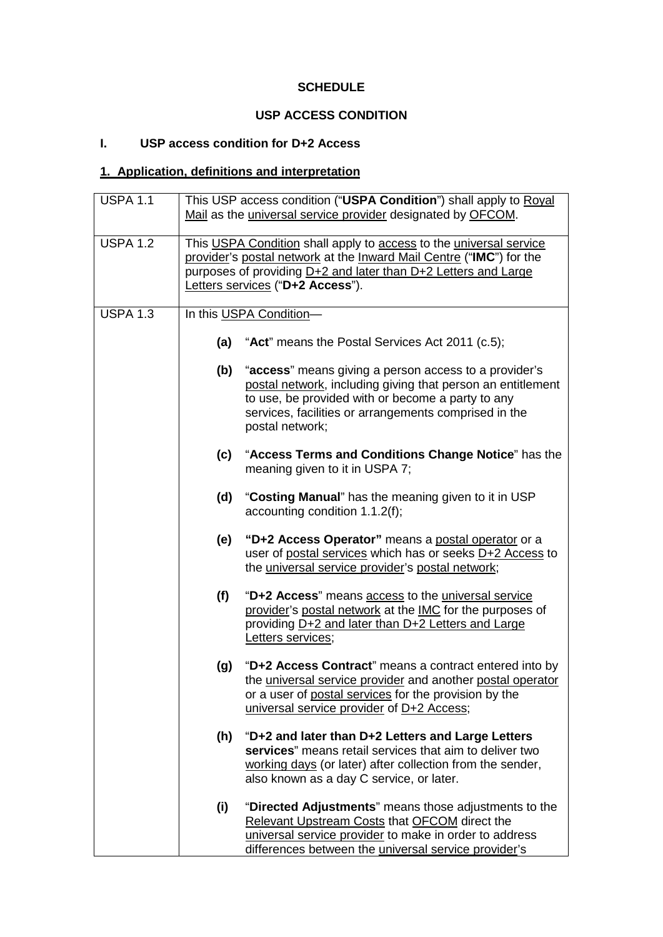### **SCHEDULE**

# **USP ACCESS CONDITION**

# **I. USP access condition for D+2 Access**

# **1. Application, definitions and interpretation**

| <b>USPA 1.1</b> |     | This USP access condition ("USPA Condition") shall apply to Royal<br>Mail as the universal service provider designated by OFCOM.                                                                                                                      |
|-----------------|-----|-------------------------------------------------------------------------------------------------------------------------------------------------------------------------------------------------------------------------------------------------------|
| <b>USPA 1.2</b> |     | This USPA Condition shall apply to access to the universal service<br>provider's postal network at the Inward Mail Centre ("IMC") for the<br>purposes of providing D+2 and later than D+2 Letters and Large<br>Letters services ("D+2 Access").       |
| <b>USPA 1.3</b> |     | In this USPA Condition-                                                                                                                                                                                                                               |
|                 | (a) | "Act" means the Postal Services Act 2011 (c.5);                                                                                                                                                                                                       |
|                 | (b) | "access" means giving a person access to a provider's<br>postal network, including giving that person an entitlement<br>to use, be provided with or become a party to any<br>services, facilities or arrangements comprised in the<br>postal network; |
|                 | (c) | "Access Terms and Conditions Change Notice" has the<br>meaning given to it in USPA 7;                                                                                                                                                                 |
|                 | (d) | "Costing Manual" has the meaning given to it in USP<br>accounting condition 1.1.2(f);                                                                                                                                                                 |
|                 | (e) | "D+2 Access Operator" means a postal operator or a<br>user of postal services which has or seeks D+2 Access to<br>the universal service provider's postal network;                                                                                    |
|                 | (f) | "D+2 Access" means access to the universal service<br>provider's postal network at the IMC for the purposes of<br>providing D+2 and later than D+2 Letters and Large<br>Letters services;                                                             |
|                 | (g) | "D+2 Access Contract" means a contract entered into by<br>the universal service provider and another postal operator<br>or a user of postal services for the provision by the<br>universal service provider of D+2 Access;                            |
|                 | (h) | "D+2 and later than D+2 Letters and Large Letters<br>services" means retail services that aim to deliver two<br>working days (or later) after collection from the sender,<br>also known as a day C service, or later.                                 |
|                 | (i) | "Directed Adjustments" means those adjustments to the<br>Relevant Upstream Costs that OFCOM direct the<br>universal service provider to make in order to address<br>differences between the <i>universal service provider's</i>                       |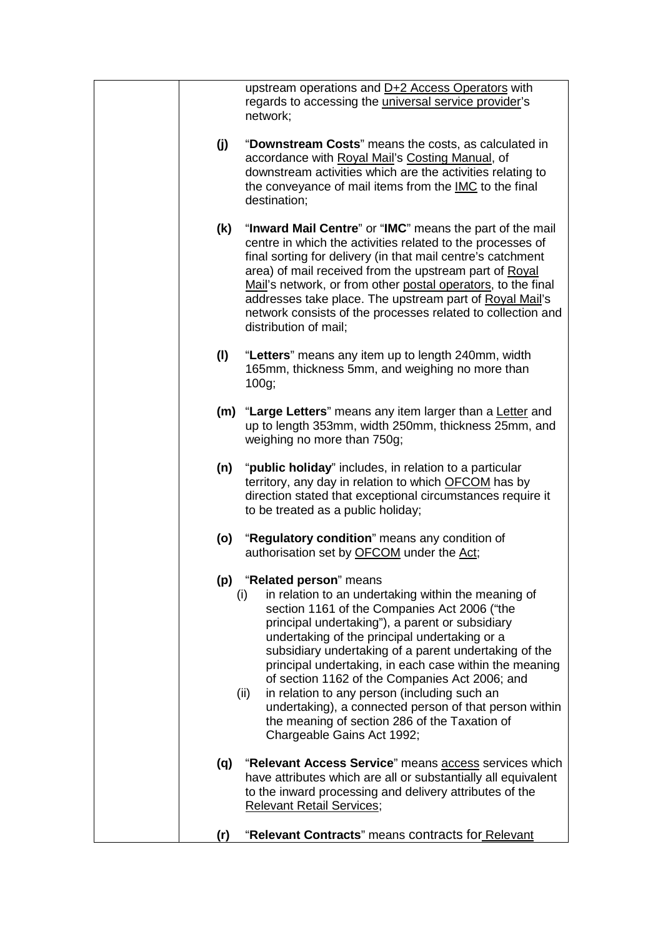|     | upstream operations and D+2 Access Operators with<br>regards to accessing the <i>universal service provider's</i><br>network;                                                                                                                                                                                                                                                                                                                                                                                                                                                                                  |
|-----|----------------------------------------------------------------------------------------------------------------------------------------------------------------------------------------------------------------------------------------------------------------------------------------------------------------------------------------------------------------------------------------------------------------------------------------------------------------------------------------------------------------------------------------------------------------------------------------------------------------|
| (j) | "Downstream Costs" means the costs, as calculated in<br>accordance with Royal Mail's Costing Manual, of<br>downstream activities which are the activities relating to<br>the conveyance of mail items from the IMC to the final<br>destination;                                                                                                                                                                                                                                                                                                                                                                |
| (k) | "Inward Mail Centre" or "IMC" means the part of the mail<br>centre in which the activities related to the processes of<br>final sorting for delivery (in that mail centre's catchment<br>area) of mail received from the upstream part of Royal<br>Mail's network, or from other postal operators, to the final<br>addresses take place. The upstream part of Royal Mail's<br>network consists of the processes related to collection and<br>distribution of mail;                                                                                                                                             |
| (1) | "Letters" means any item up to length 240mm, width<br>165mm, thickness 5mm, and weighing no more than<br>100g;                                                                                                                                                                                                                                                                                                                                                                                                                                                                                                 |
|     | (m) "Large Letters" means any item larger than a Letter and<br>up to length 353mm, width 250mm, thickness 25mm, and<br>weighing no more than 750g;                                                                                                                                                                                                                                                                                                                                                                                                                                                             |
| (n) | " <b>public holiday</b> " includes, in relation to a particular<br>territory, any day in relation to which OFCOM has by<br>direction stated that exceptional circumstances require it<br>to be treated as a public holiday;                                                                                                                                                                                                                                                                                                                                                                                    |
| (o) | "Regulatory condition" means any condition of<br>authorisation set by OFCOM under the Act;                                                                                                                                                                                                                                                                                                                                                                                                                                                                                                                     |
| (p) | "Related person" means<br>in relation to an undertaking within the meaning of<br>(i)<br>section 1161 of the Companies Act 2006 ("the<br>principal undertaking"), a parent or subsidiary<br>undertaking of the principal undertaking or a<br>subsidiary undertaking of a parent undertaking of the<br>principal undertaking, in each case within the meaning<br>of section 1162 of the Companies Act 2006; and<br>in relation to any person (including such an<br>(ii)<br>undertaking), a connected person of that person within<br>the meaning of section 286 of the Taxation of<br>Chargeable Gains Act 1992; |
| (q) | "Relevant Access Service" means access services which<br>have attributes which are all or substantially all equivalent<br>to the inward processing and delivery attributes of the<br><b>Relevant Retail Services;</b>                                                                                                                                                                                                                                                                                                                                                                                          |
| (r) | "Relevant Contracts" means contracts for Relevant                                                                                                                                                                                                                                                                                                                                                                                                                                                                                                                                                              |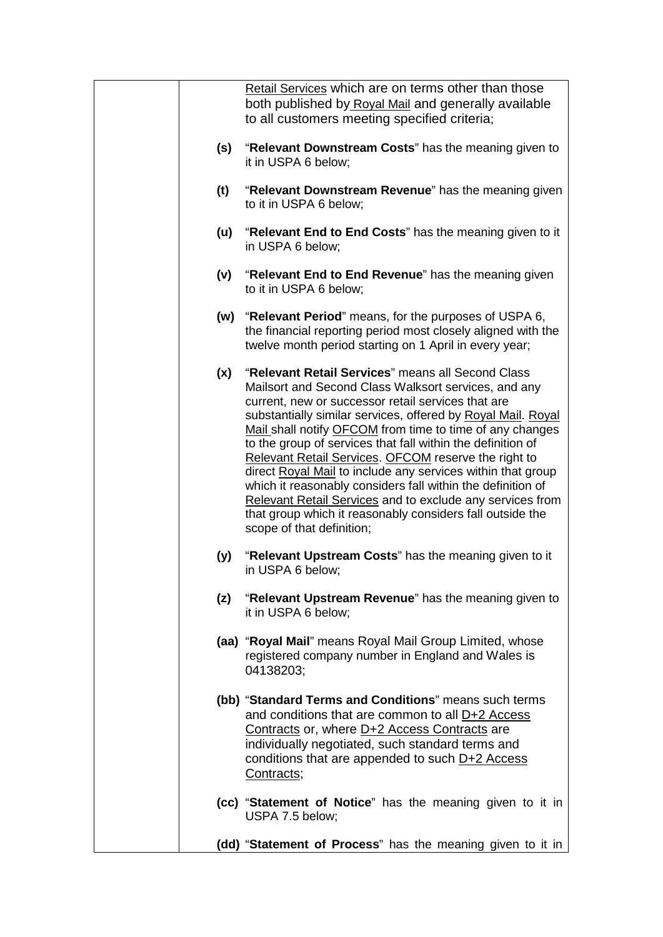|     | Retail Services which are on terms other than those<br>both published by Royal Mail and generally available<br>to all customers meeting specified criteria;                                                                                                                                                                                                                                                                                                                                                                                                                                                                                                                                                    |
|-----|----------------------------------------------------------------------------------------------------------------------------------------------------------------------------------------------------------------------------------------------------------------------------------------------------------------------------------------------------------------------------------------------------------------------------------------------------------------------------------------------------------------------------------------------------------------------------------------------------------------------------------------------------------------------------------------------------------------|
| (s) | "Relevant Downstream Costs" has the meaning given to<br>it in USPA 6 below;                                                                                                                                                                                                                                                                                                                                                                                                                                                                                                                                                                                                                                    |
| (t) | "Relevant Downstream Revenue" has the meaning given<br>to it in USPA 6 below;                                                                                                                                                                                                                                                                                                                                                                                                                                                                                                                                                                                                                                  |
| (u) | "Relevant End to End Costs" has the meaning given to it<br>in USPA 6 below;                                                                                                                                                                                                                                                                                                                                                                                                                                                                                                                                                                                                                                    |
| (v) | "Relevant End to End Revenue" has the meaning given<br>to it in USPA 6 below;                                                                                                                                                                                                                                                                                                                                                                                                                                                                                                                                                                                                                                  |
| (w) | "Relevant Period" means, for the purposes of USPA 6,<br>the financial reporting period most closely aligned with the<br>twelve month period starting on 1 April in every year;                                                                                                                                                                                                                                                                                                                                                                                                                                                                                                                                 |
| (x) | "Relevant Retail Services" means all Second Class<br>Mailsort and Second Class Walksort services, and any<br>current, new or successor retail services that are<br>substantially similar services, offered by Royal Mail. Royal<br>Mail shall notify OFCOM from time to time of any changes<br>to the group of services that fall within the definition of<br>Relevant Retail Services. OFCOM reserve the right to<br>direct Royal Mail to include any services within that group<br>which it reasonably considers fall within the definition of<br><b>Relevant Retail Services and to exclude any services from</b><br>that group which it reasonably considers fall outside the<br>scope of that definition; |
| (y) | "Relevant Upstream Costs" has the meaning given to it<br>in USPA 6 below;                                                                                                                                                                                                                                                                                                                                                                                                                                                                                                                                                                                                                                      |
| (z) | "Relevant Upstream Revenue" has the meaning given to<br>it in USPA 6 below;                                                                                                                                                                                                                                                                                                                                                                                                                                                                                                                                                                                                                                    |
|     | (aa) "Royal Mail" means Royal Mail Group Limited, whose<br>registered company number in England and Wales is<br>04138203;                                                                                                                                                                                                                                                                                                                                                                                                                                                                                                                                                                                      |
|     | (bb) "Standard Terms and Conditions" means such terms<br>and conditions that are common to all D+2 Access<br>Contracts or, where D+2 Access Contracts are<br>individually negotiated, such standard terms and<br>conditions that are appended to such D+2 Access<br>Contracts;                                                                                                                                                                                                                                                                                                                                                                                                                                 |
|     | (cc) "Statement of Notice" has the meaning given to it in<br>USPA 7.5 below;                                                                                                                                                                                                                                                                                                                                                                                                                                                                                                                                                                                                                                   |
|     | (dd) "Statement of Process" has the meaning given to it in                                                                                                                                                                                                                                                                                                                                                                                                                                                                                                                                                                                                                                                     |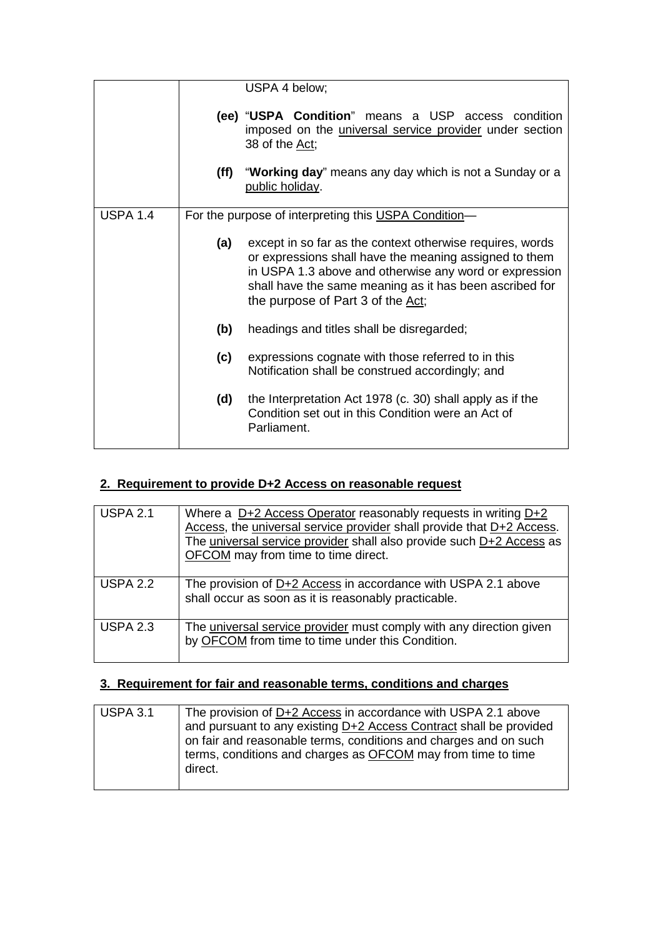|                 |      | USPA 4 below;                                                                                                                                                                                                                                                                 |
|-----------------|------|-------------------------------------------------------------------------------------------------------------------------------------------------------------------------------------------------------------------------------------------------------------------------------|
|                 |      | (ee) "USPA Condition" means a USP access condition<br>imposed on the <i>universal service provider</i> under section<br>38 of the Act;                                                                                                                                        |
|                 | (ff) | "Working day" means any day which is not a Sunday or a<br>public holiday.                                                                                                                                                                                                     |
| <b>USPA 1.4</b> |      | For the purpose of interpreting this USPA Condition-                                                                                                                                                                                                                          |
|                 | (a)  | except in so far as the context otherwise requires, words<br>or expressions shall have the meaning assigned to them<br>in USPA 1.3 above and otherwise any word or expression<br>shall have the same meaning as it has been ascribed for<br>the purpose of Part 3 of the Act; |
|                 | (b)  | headings and titles shall be disregarded;                                                                                                                                                                                                                                     |
|                 | (c)  | expressions cognate with those referred to in this<br>Notification shall be construed accordingly; and                                                                                                                                                                        |
|                 | (d)  | the Interpretation Act 1978 (c. 30) shall apply as if the<br>Condition set out in this Condition were an Act of<br>Parliament.                                                                                                                                                |

# **2. Requirement to provide D+2 Access on reasonable request**

| <b>USPA 2.1</b> | Where a D+2 Access Operator reasonably requests in writing D+2<br>Access, the universal service provider shall provide that D+2 Access.<br>The universal service provider shall also provide such D+2 Access as<br>OFCOM may from time to time direct. |
|-----------------|--------------------------------------------------------------------------------------------------------------------------------------------------------------------------------------------------------------------------------------------------------|
| <b>USPA 2.2</b> | The provision of D+2 Access in accordance with USPA 2.1 above<br>shall occur as soon as it is reasonably practicable.                                                                                                                                  |
| <b>USPA 2.3</b> | The universal service provider must comply with any direction given<br>by OFCOM from time to time under this Condition.                                                                                                                                |

## **3. Requirement for fair and reasonable terms, conditions and charges**

| The provision of D+2 Access in accordance with USPA 2.1 above<br>and pursuant to any existing D+2 Access Contract shall be provided<br>on fair and reasonable terms, conditions and charges and on such |
|---------------------------------------------------------------------------------------------------------------------------------------------------------------------------------------------------------|
| terms, conditions and charges as <b>OFCOM</b> may from time to time<br>direct.                                                                                                                          |
|                                                                                                                                                                                                         |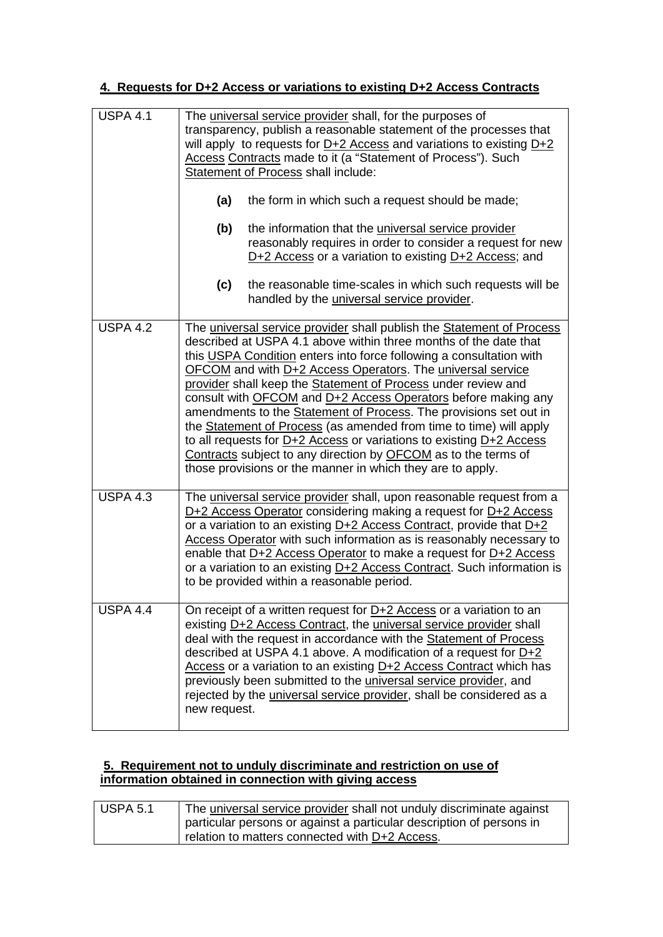## **4. Requests for D+2 Access or variations to existing D+2 Access Contracts**

| <b>USPA 4.1</b> | The universal service provider shall, for the purposes of<br>transparency, publish a reasonable statement of the processes that<br>will apply to requests for $D+2$ Access and variations to existing $D+2$<br>Access Contracts made to it (a "Statement of Process"). Such<br>Statement of Process shall include:                                                                                                                                                                                                                                                                                                                                                                                                                                                     |
|-----------------|------------------------------------------------------------------------------------------------------------------------------------------------------------------------------------------------------------------------------------------------------------------------------------------------------------------------------------------------------------------------------------------------------------------------------------------------------------------------------------------------------------------------------------------------------------------------------------------------------------------------------------------------------------------------------------------------------------------------------------------------------------------------|
|                 | (a)<br>the form in which such a request should be made;                                                                                                                                                                                                                                                                                                                                                                                                                                                                                                                                                                                                                                                                                                                |
|                 | (b)<br>the information that the <i>universal service</i> provider<br>reasonably requires in order to consider a request for new<br>$D+2$ Access or a variation to existing $D+2$ Access; and                                                                                                                                                                                                                                                                                                                                                                                                                                                                                                                                                                           |
|                 | (c)<br>the reasonable time-scales in which such requests will be<br>handled by the <i>universal service</i> provider.                                                                                                                                                                                                                                                                                                                                                                                                                                                                                                                                                                                                                                                  |
| <b>USPA 4.2</b> | The universal service provider shall publish the Statement of Process<br>described at USPA 4.1 above within three months of the date that<br>this USPA Condition enters into force following a consultation with<br>OFCOM and with D+2 Access Operators. The universal service<br>provider shall keep the Statement of Process under review and<br>consult with OFCOM and D+2 Access Operators before making any<br>amendments to the Statement of Process. The provisions set out in<br>the Statement of Process (as amended from time to time) will apply<br>to all requests for $D+2$ Access or variations to existing $D+2$ Access<br>Contracts subject to any direction by OFCOM as to the terms of<br>those provisions or the manner in which they are to apply. |
| <b>USPA 4.3</b> | The universal service provider shall, upon reasonable request from a<br>D+2 Access Operator considering making a request for D+2 Access<br>or a variation to an existing D+2 Access Contract, provide that D+2<br>Access Operator with such information as is reasonably necessary to<br>enable that D+2 Access Operator to make a request for D+2 Access<br>or a variation to an existing D+2 Access Contract. Such information is<br>to be provided within a reasonable period.                                                                                                                                                                                                                                                                                      |
| <b>USPA 4.4</b> | On receipt of a written request for $D+2$ Access or a variation to an<br>existing D+2 Access Contract, the universal service provider shall<br>deal with the request in accordance with the Statement of Process<br>described at USPA 4.1 above. A modification of a request for $D+2$<br>Access or a variation to an existing D+2 Access Contract which has<br>previously been submitted to the <i>universal service provider</i> , and<br>rejected by the <i>universal service provider</i> , shall be considered as a<br>new request.                                                                                                                                                                                                                               |

### **5. Requirement not to unduly discriminate and restriction on use of information obtained in connection with giving access**

| <b>USPA 5.1</b> | The universal service provider shall not unduly discriminate against |
|-----------------|----------------------------------------------------------------------|
|                 | particular persons or against a particular description of persons in |
|                 | relation to matters connected with D+2 Access.                       |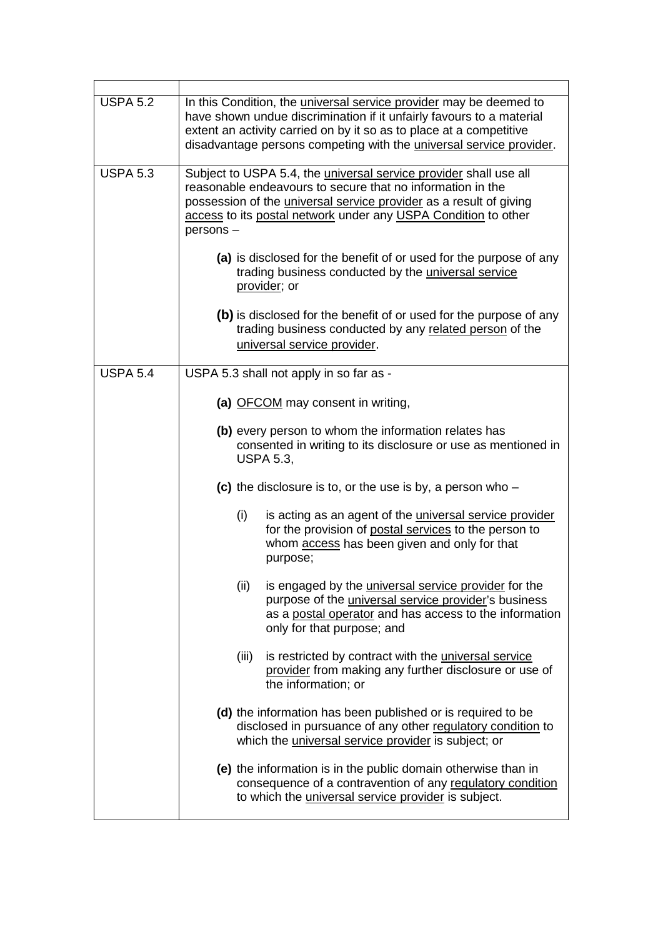| <b>USPA 5.2</b> | In this Condition, the <i>universal service provider</i> may be deemed to<br>have shown undue discrimination if it unfairly favours to a material<br>extent an activity carried on by it so as to place at a competitive<br>disadvantage persons competing with the <i>universal service provider</i> . |
|-----------------|---------------------------------------------------------------------------------------------------------------------------------------------------------------------------------------------------------------------------------------------------------------------------------------------------------|
| <b>USPA 5.3</b> | Subject to USPA 5.4, the <i>universal service provider</i> shall use all<br>reasonable endeavours to secure that no information in the<br>possession of the <i>universal service provider</i> as a result of giving<br>access to its postal network under any USPA Condition to other<br>persons-       |
|                 | (a) is disclosed for the benefit of or used for the purpose of any<br>trading business conducted by the <i>universal service</i><br>provider; or                                                                                                                                                        |
|                 | (b) is disclosed for the benefit of or used for the purpose of any<br>trading business conducted by any related person of the<br>universal service provider.                                                                                                                                            |
| <b>USPA 5.4</b> | USPA 5.3 shall not apply in so far as -                                                                                                                                                                                                                                                                 |
|                 | (a) OFCOM may consent in writing,                                                                                                                                                                                                                                                                       |
|                 | (b) every person to whom the information relates has<br>consented in writing to its disclosure or use as mentioned in<br><b>USPA 5.3,</b>                                                                                                                                                               |
|                 | (c) the disclosure is to, or the use is by, a person who $-$                                                                                                                                                                                                                                            |
|                 | (i)<br>is acting as an agent of the <i>universal service</i> provider<br>for the provision of postal services to the person to<br>whom access has been given and only for that<br>purpose;                                                                                                              |
|                 | (ii)<br>is engaged by the <i>universal service provider</i> for the<br>purpose of the <i>universal service provider's</i> business<br>as a postal operator and has access to the information<br>only for that purpose; and                                                                              |
|                 | (iii)<br>is restricted by contract with the <i>universal service</i><br>provider from making any further disclosure or use of<br>the information; or                                                                                                                                                    |
|                 | (d) the information has been published or is required to be<br>disclosed in pursuance of any other regulatory condition to<br>which the <i>universal service provider</i> is subject; or                                                                                                                |
|                 | (e) the information is in the public domain otherwise than in<br>consequence of a contravention of any regulatory condition<br>to which the <i>universal service provider</i> is subject.                                                                                                               |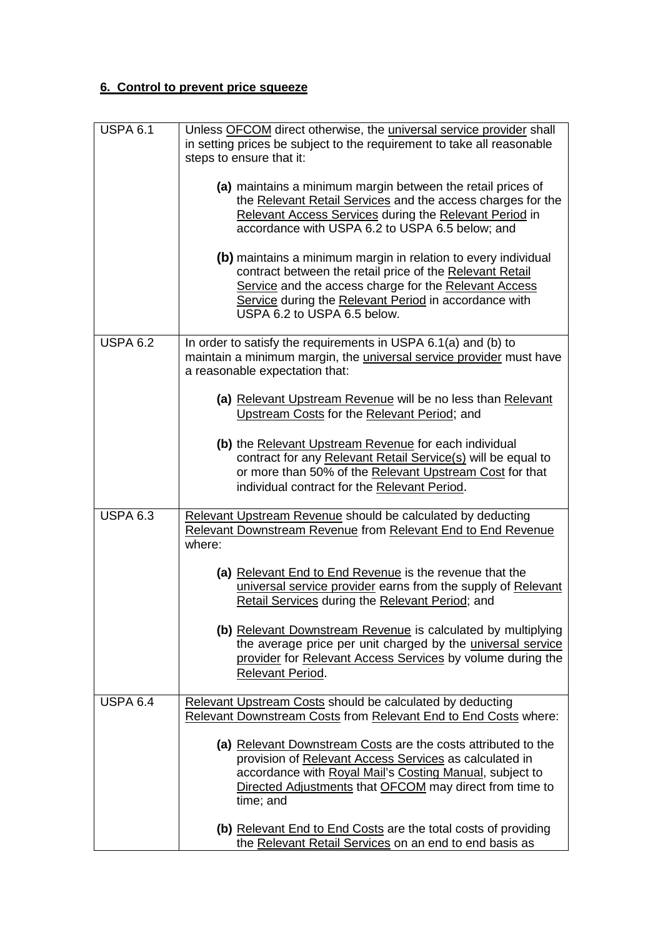# **6. Control to prevent price squeeze**

| USPA $6.\overline{1}$ | Unless OFCOM direct otherwise, the universal service provider shall<br>in setting prices be subject to the requirement to take all reasonable<br>steps to ensure that it:                                                                                                   |
|-----------------------|-----------------------------------------------------------------------------------------------------------------------------------------------------------------------------------------------------------------------------------------------------------------------------|
|                       | (a) maintains a minimum margin between the retail prices of<br>the Relevant Retail Services and the access charges for the<br>Relevant Access Services during the Relevant Period in<br>accordance with USPA 6.2 to USPA 6.5 below; and                                     |
|                       | (b) maintains a minimum margin in relation to every individual<br>contract between the retail price of the Relevant Retail<br>Service and the access charge for the Relevant Access<br>Service during the Relevant Period in accordance with<br>USPA 6.2 to USPA 6.5 below. |
| <b>USPA 6.2</b>       | In order to satisfy the requirements in USPA 6.1(a) and (b) to<br>maintain a minimum margin, the <i>universal service provider</i> must have<br>a reasonable expectation that:                                                                                              |
|                       | (a) Relevant Upstream Revenue will be no less than Relevant<br>Upstream Costs for the Relevant Period; and                                                                                                                                                                  |
|                       | (b) the Relevant Upstream Revenue for each individual<br>contract for any Relevant Retail Service(s) will be equal to<br>or more than 50% of the Relevant Upstream Cost for that<br>individual contract for the Relevant Period.                                            |
| <b>USPA 6.3</b>       | Relevant Upstream Revenue should be calculated by deducting<br><b>Relevant Downstream Revenue from Relevant End to End Revenue</b><br>where:                                                                                                                                |
|                       | (a) Relevant End to End Revenue is the revenue that the<br>universal service provider earns from the supply of Relevant<br><b>Retail Services during the Relevant Period; and</b>                                                                                           |
|                       | (b) Relevant Downstream Revenue is calculated by multiplying<br>the average price per unit charged by the universal service<br>provider for Relevant Access Services by volume during the<br>Relevant Period.                                                               |
| <b>USPA 6.4</b>       | Relevant Upstream Costs should be calculated by deducting<br>Relevant Downstream Costs from Relevant End to End Costs where:                                                                                                                                                |
|                       | (a) Relevant Downstream Costs are the costs attributed to the<br>provision of Relevant Access Services as calculated in<br>accordance with Royal Mail's Costing Manual, subject to<br>Directed Adjustments that OFCOM may direct from time to<br>time; and                  |
|                       | (b) Relevant End to End Costs are the total costs of providing<br>the Relevant Retail Services on an end to end basis as                                                                                                                                                    |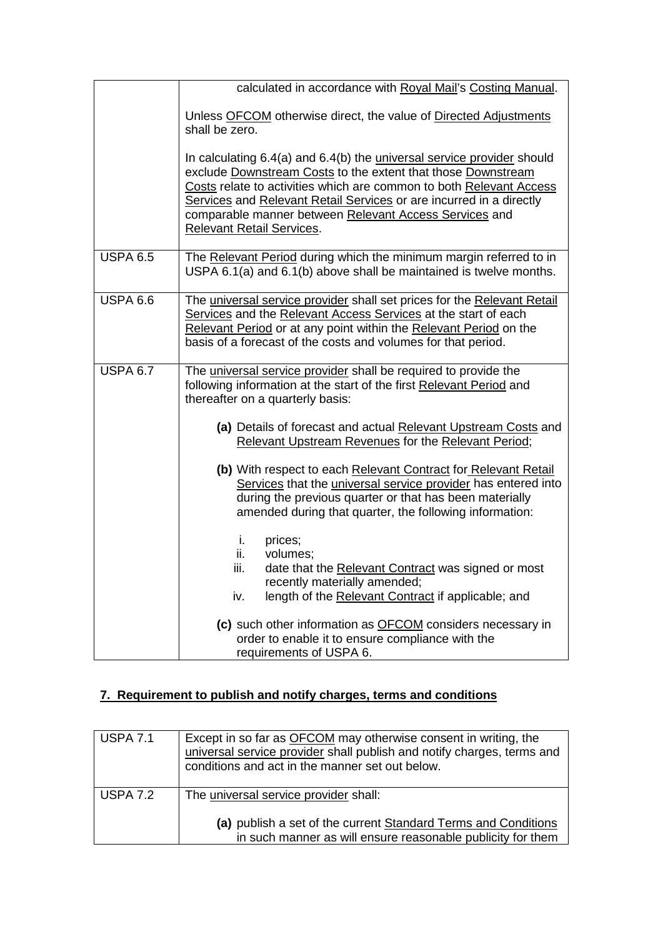|                 | calculated in accordance with Royal Mail's Costing Manual.                                                                                                                                                                                                                                                                                                                         |
|-----------------|------------------------------------------------------------------------------------------------------------------------------------------------------------------------------------------------------------------------------------------------------------------------------------------------------------------------------------------------------------------------------------|
|                 | Unless OFCOM otherwise direct, the value of Directed Adjustments<br>shall be zero.                                                                                                                                                                                                                                                                                                 |
|                 | In calculating 6.4(a) and 6.4(b) the universal service provider should<br>exclude Downstream Costs to the extent that those Downstream<br>Costs relate to activities which are common to both Relevant Access<br>Services and Relevant Retail Services or are incurred in a directly<br>comparable manner between Relevant Access Services and<br><b>Relevant Retail Services.</b> |
| <b>USPA 6.5</b> | The Relevant Period during which the minimum margin referred to in<br>USPA 6.1(a) and 6.1(b) above shall be maintained is twelve months.                                                                                                                                                                                                                                           |
| <b>USPA 6.6</b> | The universal service provider shall set prices for the Relevant Retail<br>Services and the Relevant Access Services at the start of each<br>Relevant Period or at any point within the Relevant Period on the<br>basis of a forecast of the costs and volumes for that period.                                                                                                    |
| <b>USPA 6.7</b> | The universal service provider shall be required to provide the<br>following information at the start of the first Relevant Period and<br>thereafter on a quarterly basis:                                                                                                                                                                                                         |
|                 | (a) Details of forecast and actual Relevant Upstream Costs and<br>Relevant Upstream Revenues for the Relevant Period;                                                                                                                                                                                                                                                              |
|                 | (b) With respect to each Relevant Contract for Relevant Retail<br>Services that the universal service provider has entered into<br>during the previous quarter or that has been materially<br>amended during that quarter, the following information:                                                                                                                              |
|                 | prices;<br>i.<br>ii.<br>volumes;<br>iii.<br>date that the Relevant Contract was signed or most<br>recently materially amended;<br>length of the Relevant Contract if applicable; and<br>iv.                                                                                                                                                                                        |
|                 | (c) such other information as OFCOM considers necessary in<br>order to enable it to ensure compliance with the<br>requirements of USPA 6.                                                                                                                                                                                                                                          |

# **7. Requirement to publish and notify charges, terms and conditions**

| <b>USPA 7.1</b> | Except in so far as <b>OFCOM</b> may otherwise consent in writing, the<br>universal service provider shall publish and notify charges, terms and<br>conditions and act in the manner set out below. |
|-----------------|-----------------------------------------------------------------------------------------------------------------------------------------------------------------------------------------------------|
| <b>USPA 7.2</b> | The universal service provider shall:<br>(a) publish a set of the current Standard Terms and Conditions<br>in such manner as will ensure reasonable publicity for them                              |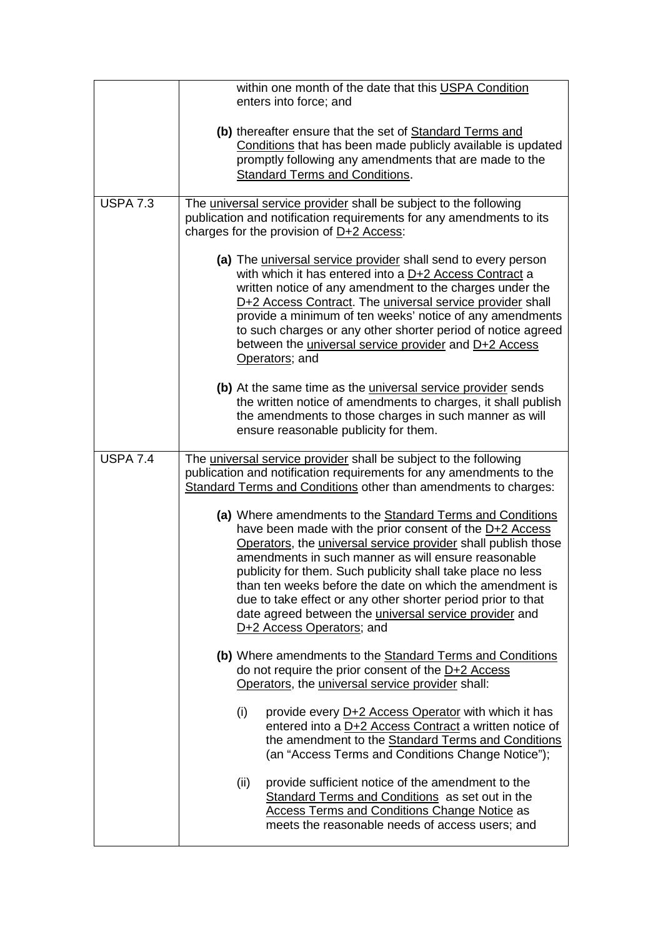|                 | within one month of the date that this USPA Condition<br>enters into force; and                                                                                                                                                                                                                                                                                                                                                                                                                                                       |  |
|-----------------|---------------------------------------------------------------------------------------------------------------------------------------------------------------------------------------------------------------------------------------------------------------------------------------------------------------------------------------------------------------------------------------------------------------------------------------------------------------------------------------------------------------------------------------|--|
|                 | (b) thereafter ensure that the set of Standard Terms and<br>Conditions that has been made publicly available is updated<br>promptly following any amendments that are made to the<br><b>Standard Terms and Conditions.</b>                                                                                                                                                                                                                                                                                                            |  |
| <b>USPA 7.3</b> | The universal service provider shall be subject to the following<br>publication and notification requirements for any amendments to its<br>charges for the provision of $D+2$ Access:                                                                                                                                                                                                                                                                                                                                                 |  |
|                 | (a) The universal service provider shall send to every person<br>with which it has entered into a D+2 Access Contract a<br>written notice of any amendment to the charges under the<br>D+2 Access Contract. The universal service provider shall<br>provide a minimum of ten weeks' notice of any amendments<br>to such charges or any other shorter period of notice agreed<br>between the <i>universal service provider</i> and D+2 Access<br>Operators; and                                                                        |  |
|                 | (b) At the same time as the <i>universal service provider</i> sends<br>the written notice of amendments to charges, it shall publish<br>the amendments to those charges in such manner as will<br>ensure reasonable publicity for them.                                                                                                                                                                                                                                                                                               |  |
| <b>USPA 7.4</b> | The universal service provider shall be subject to the following<br>publication and notification requirements for any amendments to the<br>Standard Terms and Conditions other than amendments to charges:                                                                                                                                                                                                                                                                                                                            |  |
|                 | (a) Where amendments to the Standard Terms and Conditions<br>have been made with the prior consent of the D+2 Access<br>Operators, the universal service provider shall publish those<br>amendments in such manner as will ensure reasonable<br>publicity for them. Such publicity shall take place no less<br>than ten weeks before the date on which the amendment is<br>due to take effect or any other shorter period prior to that<br>date agreed between the <i>universal service provider</i> and<br>D+2 Access Operators; and |  |
|                 | (b) Where amendments to the Standard Terms and Conditions<br>do not require the prior consent of the D+2 Access<br>Operators, the universal service provider shall:                                                                                                                                                                                                                                                                                                                                                                   |  |
|                 | (i)<br>provide every D+2 Access Operator with which it has<br>entered into a D+2 Access Contract a written notice of<br>the amendment to the Standard Terms and Conditions<br>(an "Access Terms and Conditions Change Notice");                                                                                                                                                                                                                                                                                                       |  |
|                 | provide sufficient notice of the amendment to the<br>(ii)<br>Standard Terms and Conditions as set out in the<br><b>Access Terms and Conditions Change Notice as</b><br>meets the reasonable needs of access users; and                                                                                                                                                                                                                                                                                                                |  |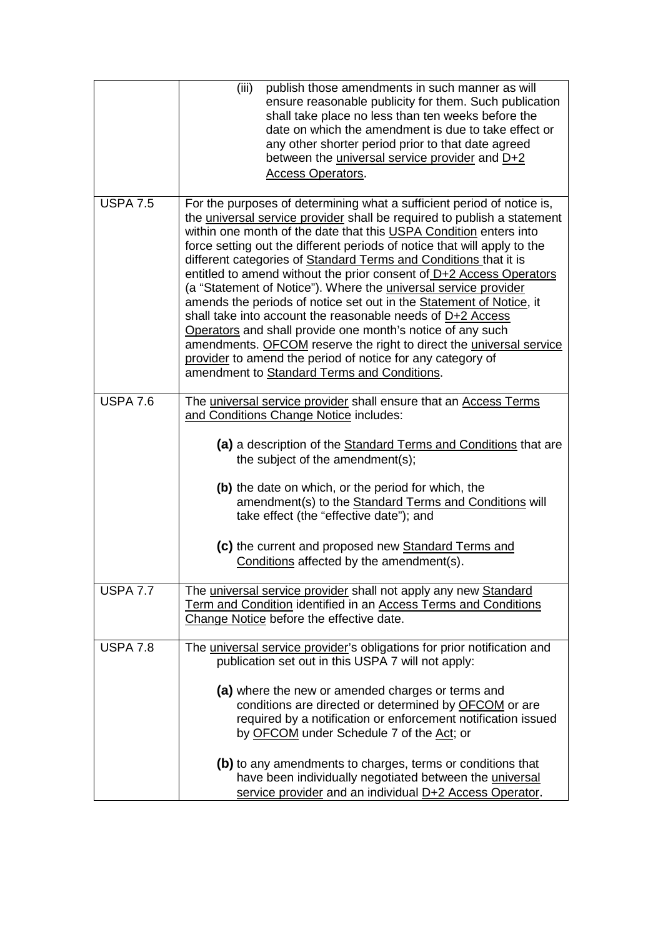|                       | (iii)<br>publish those amendments in such manner as will<br>ensure reasonable publicity for them. Such publication<br>shall take place no less than ten weeks before the<br>date on which the amendment is due to take effect or<br>any other shorter period prior to that date agreed<br>between the <i>universal service provider</i> and D+2<br>Access Operators.                                                                                                                                                                                                                                                                                                                                                                                                                                                                                                                                           |
|-----------------------|----------------------------------------------------------------------------------------------------------------------------------------------------------------------------------------------------------------------------------------------------------------------------------------------------------------------------------------------------------------------------------------------------------------------------------------------------------------------------------------------------------------------------------------------------------------------------------------------------------------------------------------------------------------------------------------------------------------------------------------------------------------------------------------------------------------------------------------------------------------------------------------------------------------|
| USPA $7.\overline{5}$ | For the purposes of determining what a sufficient period of notice is,<br>the universal service provider shall be required to publish a statement<br>within one month of the date that this USPA Condition enters into<br>force setting out the different periods of notice that will apply to the<br>different categories of Standard Terms and Conditions that it is<br>entitled to amend without the prior consent of D+2 Access Operators<br>(a "Statement of Notice"). Where the <i>universal service provider</i><br>amends the periods of notice set out in the Statement of Notice, it<br>shall take into account the reasonable needs of D+2 Access<br>Operators and shall provide one month's notice of any such<br>amendments. OFCOM reserve the right to direct the universal service<br>provider to amend the period of notice for any category of<br>amendment to Standard Terms and Conditions. |
| <b>USPA 7.6</b>       | The universal service provider shall ensure that an Access Terms<br>and Conditions Change Notice includes:<br>(a) a description of the Standard Terms and Conditions that are<br>the subject of the amendment(s);<br>(b) the date on which, or the period for which, the<br>amendment(s) to the Standard Terms and Conditions will<br>take effect (the "effective date"); and<br>(c) the current and proposed new Standard Terms and<br>Conditions affected by the amendment(s).                                                                                                                                                                                                                                                                                                                                                                                                                               |
| <b>USPA 7.7</b>       | The universal service provider shall not apply any new Standard<br>Term and Condition identified in an Access Terms and Conditions<br>Change Notice before the effective date.                                                                                                                                                                                                                                                                                                                                                                                                                                                                                                                                                                                                                                                                                                                                 |
| <b>USPA 7.8</b>       | The universal service provider's obligations for prior notification and<br>publication set out in this USPA 7 will not apply:<br>(a) where the new or amended charges or terms and<br>conditions are directed or determined by OFCOM or are<br>required by a notification or enforcement notification issued<br>by OFCOM under Schedule 7 of the Act; or<br>(b) to any amendments to charges, terms or conditions that<br>have been individually negotiated between the universal<br>service provider and an individual D+2 Access Operator.                                                                                                                                                                                                                                                                                                                                                                   |